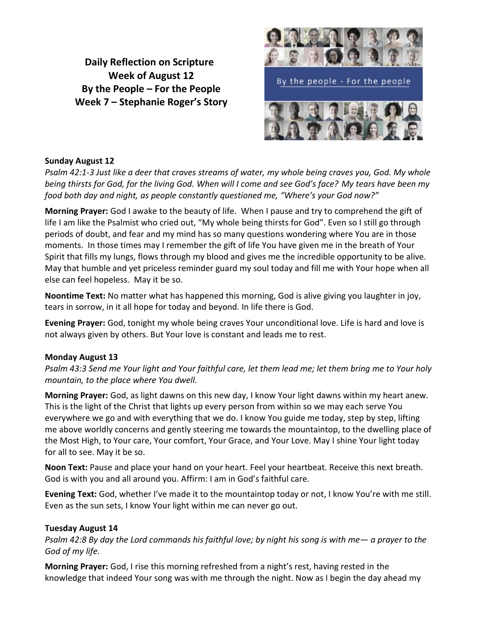**Daily Reflection on Scripture Week of August 12 By the People – For the People Week 7 – Stephanie Roger's Story**



### **Sunday August 12**

*Psalm 42:1-3 Just like a deer that craves streams of water, my whole being craves you, God. My whole being thirsts for God, for the living God. When will I come and see God's face? My tears have been my food both day and night, as people constantly questioned me, "Where's your God now?"*

**Morning Prayer:** God I awake to the beauty of life. When I pause and try to comprehend the gift of life I am like the Psalmist who cried out, "My whole being thirsts for God". Even so I still go through periods of doubt, and fear and my mind has so many questions wondering where You are in those moments. In those times may I remember the gift of life You have given me in the breath of Your Spirit that fills my lungs, flows through my blood and gives me the incredible opportunity to be alive. May that humble and yet priceless reminder guard my soul today and fill me with Your hope when all else can feel hopeless. May it be so.

**Noontime Text:** No matter what has happened this morning, God is alive giving you laughter in joy, tears in sorrow, in it all hope for today and beyond. In life there is God.

**Evening Prayer:** God, tonight my whole being craves Your unconditional love. Life is hard and love is not always given by others. But Your love is constant and leads me to rest.

#### **Monday August 13**

*Psalm 43:3 Send me Your light and Your faithful care, let them lead me; let them bring me to Your holy mountain, to the place where You dwell.*

**Morning Prayer:** God, as light dawns on this new day, I know Your light dawns within my heart anew. This is the light of the Christ that lights up every person from within so we may each serve You everywhere we go and with everything that we do. I know You guide me today, step by step, lifting me above worldly concerns and gently steering me towards the mountaintop, to the dwelling place of the Most High, to Your care, Your comfort, Your Grace, and Your Love. May I shine Your light today for all to see. May it be so.

**Noon Text:** Pause and place your hand on your heart. Feel your heartbeat. Receive this next breath. God is with you and all around you. Affirm: I am in God's faithful care.

**Evening Text:** God, whether I've made it to the mountaintop today or not, I know You're with me still. Even as the sun sets, I know Your light within me can never go out.

#### **Tuesday August 14**

*Psalm 42:8 By day the Lord commands his faithful love; by night his song is with me— a prayer to the God of my life.*

**Morning Prayer:** God, I rise this morning refreshed from a night's rest, having rested in the knowledge that indeed Your song was with me through the night. Now as I begin the day ahead my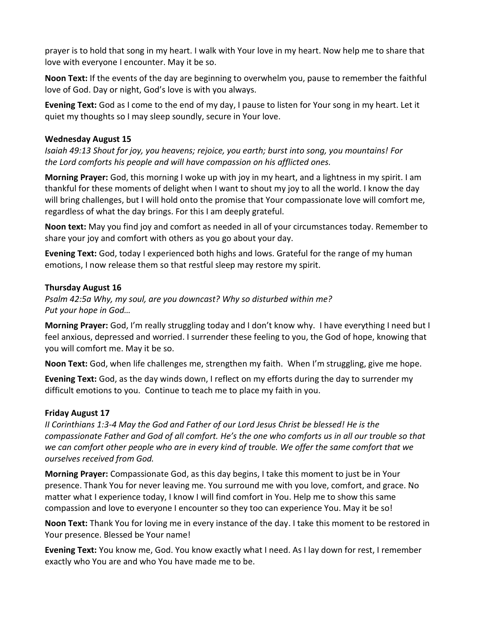prayer is to hold that song in my heart. I walk with Your love in my heart. Now help me to share that love with everyone I encounter. May it be so.

**Noon Text:** If the events of the day are beginning to overwhelm you, pause to remember the faithful love of God. Day or night, God's love is with you always.

**Evening Text:** God as I come to the end of my day, I pause to listen for Your song in my heart. Let it quiet my thoughts so I may sleep soundly, secure in Your love.

## **Wednesday August 15**

*Isaiah 49:13 Shout for joy, you heavens; rejoice, you earth; burst into song, you mountains! For the Lord comforts his people and will have compassion on his afflicted ones.*

**Morning Prayer:** God, this morning I woke up with joy in my heart, and a lightness in my spirit. I am thankful for these moments of delight when I want to shout my joy to all the world. I know the day will bring challenges, but I will hold onto the promise that Your compassionate love will comfort me, regardless of what the day brings. For this I am deeply grateful.

**Noon text:** May you find joy and comfort as needed in all of your circumstances today. Remember to share your joy and comfort with others as you go about your day.

**Evening Text:** God, today I experienced both highs and lows. Grateful for the range of my human emotions, I now release them so that restful sleep may restore my spirit.

# **Thursday August 16**

*Psalm 42:5a Why, my soul, are you downcast? Why so disturbed within me? Put your hope in God…*

**Morning Prayer:** God, I'm really struggling today and I don't know why. I have everything I need but I feel anxious, depressed and worried. I surrender these feeling to you, the God of hope, knowing that you will comfort me. May it be so.

**Noon Text:** God, when life challenges me, strengthen my faith. When I'm struggling, give me hope.

**Evening Text:** God, as the day winds down, I reflect on my efforts during the day to surrender my difficult emotions to you. Continue to teach me to place my faith in you.

# **Friday August 17**

*II Corinthians 1:3-4 May the God and Father of our Lord Jesus Christ be blessed! He is the compassionate Father and God of all comfort. He's the one who comforts us in all our trouble so that we can comfort other people who are in every kind of trouble. We offer the same comfort that we ourselves received from God.*

**Morning Prayer:** Compassionate God, as this day begins, I take this moment to just be in Your presence. Thank You for never leaving me. You surround me with you love, comfort, and grace. No matter what I experience today, I know I will find comfort in You. Help me to show this same compassion and love to everyone I encounter so they too can experience You. May it be so!

**Noon Text:** Thank You for loving me in every instance of the day. I take this moment to be restored in Your presence. Blessed be Your name!

**Evening Text:** You know me, God. You know exactly what I need. As I lay down for rest, I remember exactly who You are and who You have made me to be.